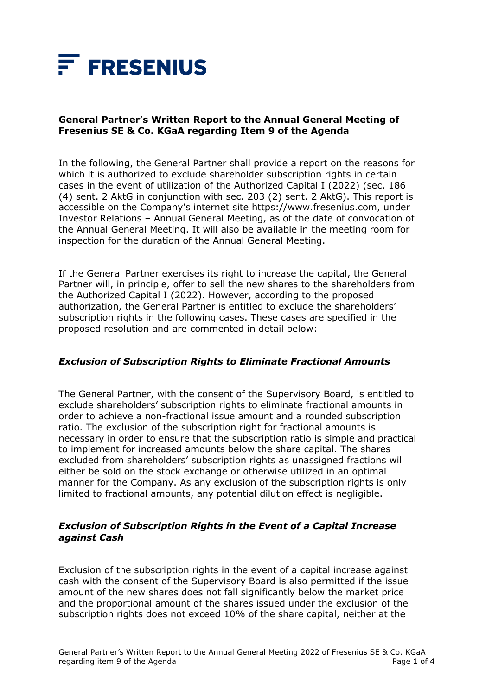

# **General Partner's Written Report to the Annual General Meeting of Fresenius SE & Co. KGaA regarding Item 9 of the Agenda**

In the following, the General Partner shall provide a report on the reasons for which it is authorized to exclude shareholder subscription rights in certain cases in the event of utilization of the Authorized Capital I (2022) (sec. 186 (4) sent. 2 AktG in conjunction with sec. 203 (2) sent. 2 AktG). This report is accessible on the Company's internet site [https://www.fresenius.com,](https://www.fresenius.com/) under Investor Relations – Annual General Meeting, as of the date of convocation of the Annual General Meeting. It will also be available in the meeting room for inspection for the duration of the Annual General Meeting.

If the General Partner exercises its right to increase the capital, the General Partner will, in principle, offer to sell the new shares to the shareholders from the Authorized Capital I (2022). However, according to the proposed authorization, the General Partner is entitled to exclude the shareholders' subscription rights in the following cases. These cases are specified in the proposed resolution and are commented in detail below:

## *Exclusion of Subscription Rights to Eliminate Fractional Amounts*

The General Partner, with the consent of the Supervisory Board, is entitled to exclude shareholders' subscription rights to eliminate fractional amounts in order to achieve a non-fractional issue amount and a rounded subscription ratio. The exclusion of the subscription right for fractional amounts is necessary in order to ensure that the subscription ratio is simple and practical to implement for increased amounts below the share capital. The shares excluded from shareholders' subscription rights as unassigned fractions will either be sold on the stock exchange or otherwise utilized in an optimal manner for the Company. As any exclusion of the subscription rights is only limited to fractional amounts, any potential dilution effect is negligible.

## *Exclusion of Subscription Rights in the Event of a Capital Increase against Cash*

Exclusion of the subscription rights in the event of a capital increase against cash with the consent of the Supervisory Board is also permitted if the issue amount of the new shares does not fall significantly below the market price and the proportional amount of the shares issued under the exclusion of the subscription rights does not exceed 10% of the share capital, neither at the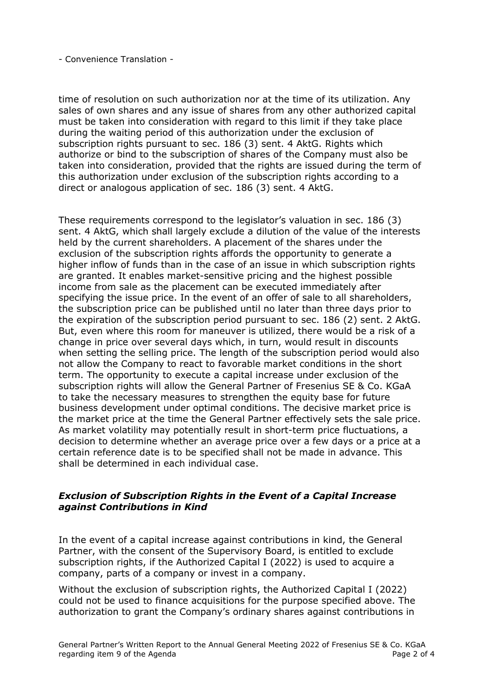#### - Convenience Translation -

time of resolution on such authorization nor at the time of its utilization. Any sales of own shares and any issue of shares from any other authorized capital must be taken into consideration with regard to this limit if they take place during the waiting period of this authorization under the exclusion of subscription rights pursuant to sec. 186 (3) sent. 4 AktG. Rights which authorize or bind to the subscription of shares of the Company must also be taken into consideration, provided that the rights are issued during the term of this authorization under exclusion of the subscription rights according to a direct or analogous application of sec. 186 (3) sent. 4 AktG.

These requirements correspond to the legislator's valuation in sec. 186 (3) sent. 4 AktG, which shall largely exclude a dilution of the value of the interests held by the current shareholders. A placement of the shares under the exclusion of the subscription rights affords the opportunity to generate a higher inflow of funds than in the case of an issue in which subscription rights are granted. It enables market-sensitive pricing and the highest possible income from sale as the placement can be executed immediately after specifying the issue price. In the event of an offer of sale to all shareholders, the subscription price can be published until no later than three days prior to the expiration of the subscription period pursuant to sec. 186 (2) sent. 2 AktG. But, even where this room for maneuver is utilized, there would be a risk of a change in price over several days which, in turn, would result in discounts when setting the selling price. The length of the subscription period would also not allow the Company to react to favorable market conditions in the short term. The opportunity to execute a capital increase under exclusion of the subscription rights will allow the General Partner of Fresenius SE & Co. KGaA to take the necessary measures to strengthen the equity base for future business development under optimal conditions. The decisive market price is the market price at the time the General Partner effectively sets the sale price. As market volatility may potentially result in short-term price fluctuations, a decision to determine whether an average price over a few days or a price at a certain reference date is to be specified shall not be made in advance. This shall be determined in each individual case.

## *Exclusion of Subscription Rights in the Event of a Capital Increase against Contributions in Kind*

In the event of a capital increase against contributions in kind, the General Partner, with the consent of the Supervisory Board, is entitled to exclude subscription rights, if the Authorized Capital I (2022) is used to acquire a company, parts of a company or invest in a company.

Without the exclusion of subscription rights, the Authorized Capital I (2022) could not be used to finance acquisitions for the purpose specified above. The authorization to grant the Company's ordinary shares against contributions in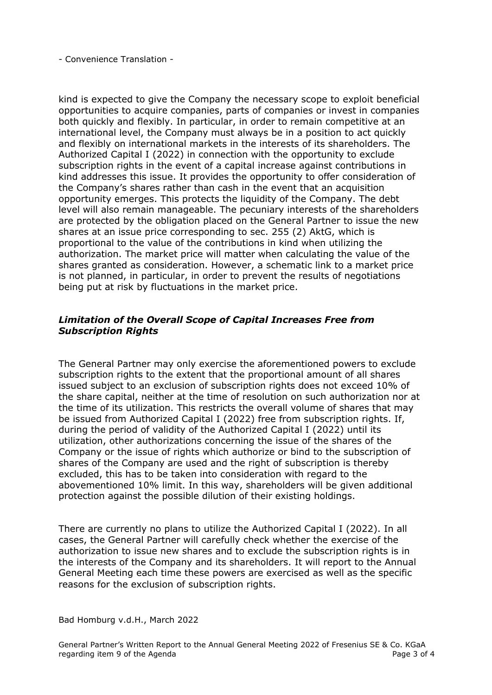- Convenience Translation -

kind is expected to give the Company the necessary scope to exploit beneficial opportunities to acquire companies, parts of companies or invest in companies both quickly and flexibly. In particular, in order to remain competitive at an international level, the Company must always be in a position to act quickly and flexibly on international markets in the interests of its shareholders. The Authorized Capital I (2022) in connection with the opportunity to exclude subscription rights in the event of a capital increase against contributions in kind addresses this issue. It provides the opportunity to offer consideration of the Company's shares rather than cash in the event that an acquisition opportunity emerges. This protects the liquidity of the Company. The debt level will also remain manageable. The pecuniary interests of the shareholders are protected by the obligation placed on the General Partner to issue the new shares at an issue price corresponding to sec. 255 (2) AktG, which is proportional to the value of the contributions in kind when utilizing the authorization. The market price will matter when calculating the value of the shares granted as consideration. However, a schematic link to a market price is not planned, in particular, in order to prevent the results of negotiations being put at risk by fluctuations in the market price.

# *Limitation of the Overall Scope of Capital Increases Free from Subscription Rights*

The General Partner may only exercise the aforementioned powers to exclude subscription rights to the extent that the proportional amount of all shares issued subject to an exclusion of subscription rights does not exceed 10% of the share capital, neither at the time of resolution on such authorization nor at the time of its utilization. This restricts the overall volume of shares that may be issued from Authorized Capital I (2022) free from subscription rights. If, during the period of validity of the Authorized Capital I (2022) until its utilization, other authorizations concerning the issue of the shares of the Company or the issue of rights which authorize or bind to the subscription of shares of the Company are used and the right of subscription is thereby excluded, this has to be taken into consideration with regard to the abovementioned 10% limit. In this way, shareholders will be given additional protection against the possible dilution of their existing holdings.

There are currently no plans to utilize the Authorized Capital I (2022). In all cases, the General Partner will carefully check whether the exercise of the authorization to issue new shares and to exclude the subscription rights is in the interests of the Company and its shareholders. It will report to the Annual General Meeting each time these powers are exercised as well as the specific reasons for the exclusion of subscription rights.

### Bad Homburg v.d.H., March 2022